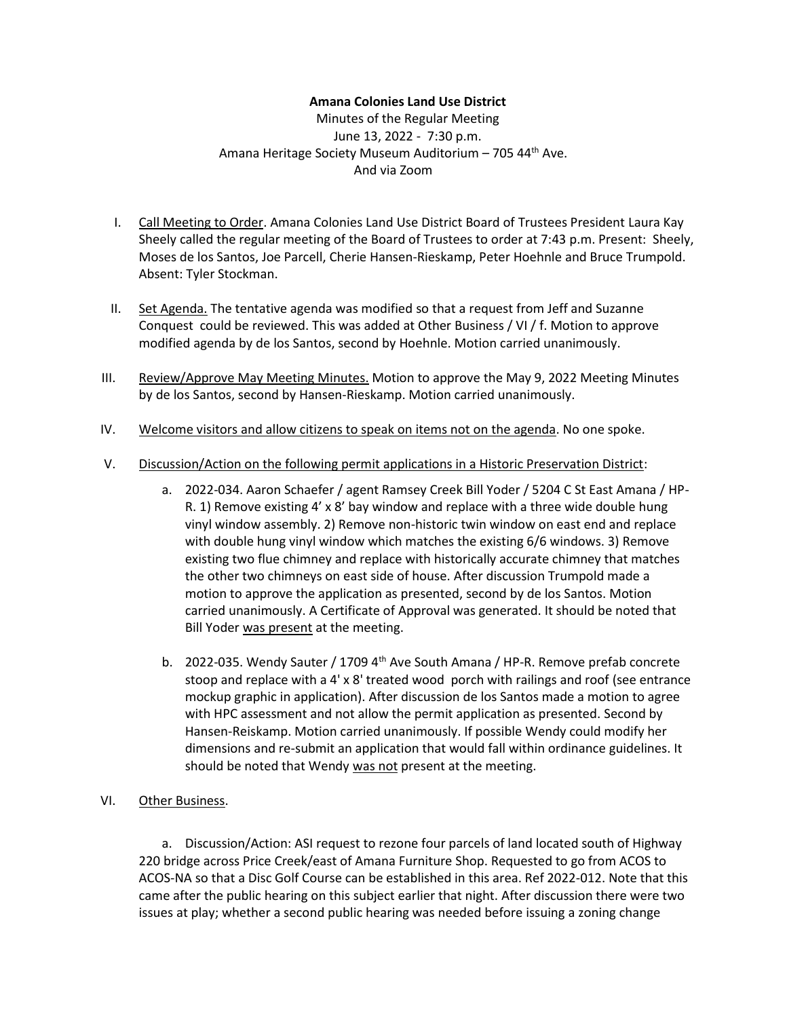## **Amana Colonies Land Use District**

Minutes of the Regular Meeting June 13, 2022 - 7:30 p.m. Amana Heritage Society Museum Auditorium - 705 44<sup>th</sup> Ave. And via Zoom

- I. Call Meeting to Order. Amana Colonies Land Use District Board of Trustees President Laura Kay Sheely called the regular meeting of the Board of Trustees to order at 7:43 p.m. Present: Sheely, Moses de los Santos, Joe Parcell, Cherie Hansen-Rieskamp, Peter Hoehnle and Bruce Trumpold. Absent: Tyler Stockman.
- II. Set Agenda. The tentative agenda was modified so that a request from Jeff and Suzanne Conquest could be reviewed. This was added at Other Business / VI / f. Motion to approve modified agenda by de los Santos, second by Hoehnle. Motion carried unanimously.
- III. Review/Approve May Meeting Minutes. Motion to approve the May 9, 2022 Meeting Minutes by de los Santos, second by Hansen-Rieskamp. Motion carried unanimously.
- IV. Welcome visitors and allow citizens to speak on items not on the agenda. No one spoke.
- V. Discussion/Action on the following permit applications in a Historic Preservation District:
	- a. 2022-034. Aaron Schaefer / agent Ramsey Creek Bill Yoder / 5204 C St East Amana / HP-R. 1) Remove existing 4' x 8' bay window and replace with a three wide double hung vinyl window assembly. 2) Remove non-historic twin window on east end and replace with double hung vinyl window which matches the existing 6/6 windows. 3) Remove existing two flue chimney and replace with historically accurate chimney that matches the other two chimneys on east side of house. After discussion Trumpold made a motion to approve the application as presented, second by de los Santos. Motion carried unanimously. A Certificate of Approval was generated. It should be noted that Bill Yoder was present at the meeting.
	- b. 2022-035. Wendy Sauter / 1709  $4<sup>th</sup>$  Ave South Amana / HP-R. Remove prefab concrete stoop and replace with a 4' x 8' treated wood porch with railings and roof (see entrance mockup graphic in application). After discussion de los Santos made a motion to agree with HPC assessment and not allow the permit application as presented. Second by Hansen-Reiskamp. Motion carried unanimously. If possible Wendy could modify her dimensions and re-submit an application that would fall within ordinance guidelines. It should be noted that Wendy was not present at the meeting.
- VI. Other Business.

a. Discussion/Action: ASI request to rezone four parcels of land located south of Highway 220 bridge across Price Creek/east of Amana Furniture Shop. Requested to go from ACOS to ACOS-NA so that a Disc Golf Course can be established in this area. Ref 2022-012. Note that this came after the public hearing on this subject earlier that night. After discussion there were two issues at play; whether a second public hearing was needed before issuing a zoning change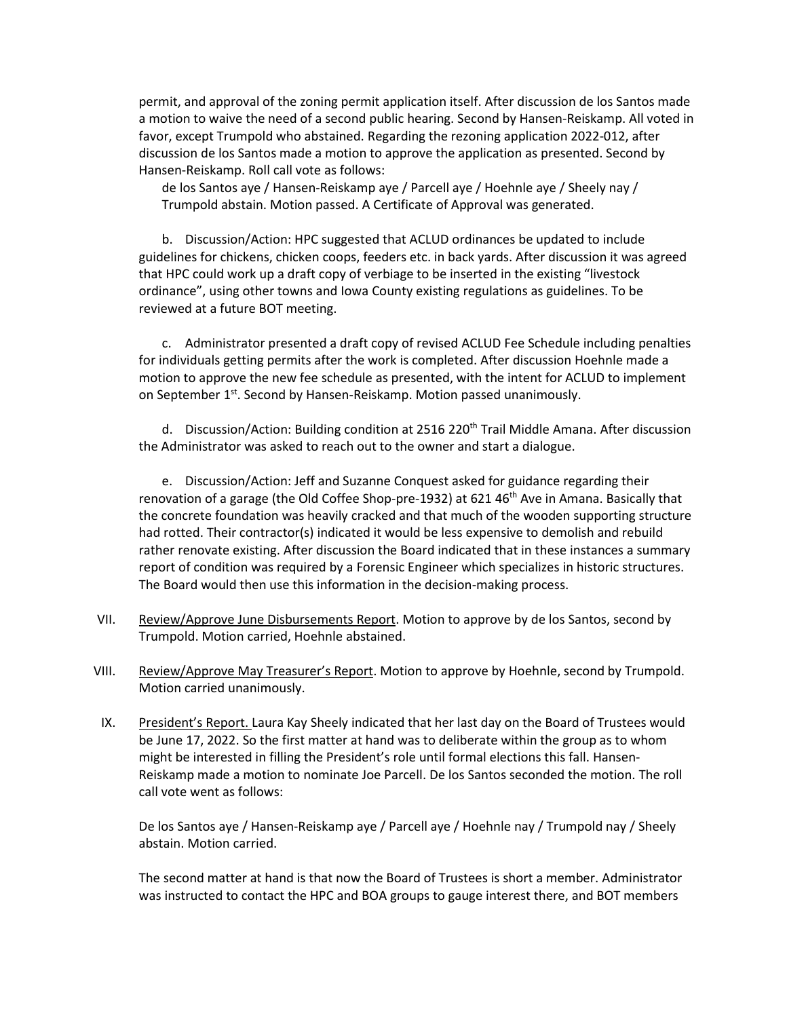permit, and approval of the zoning permit application itself. After discussion de los Santos made a motion to waive the need of a second public hearing. Second by Hansen-Reiskamp. All voted in favor, except Trumpold who abstained. Regarding the rezoning application 2022-012, after discussion de los Santos made a motion to approve the application as presented. Second by Hansen-Reiskamp. Roll call vote as follows:

de los Santos aye / Hansen-Reiskamp aye / Parcell aye / Hoehnle aye / Sheely nay / Trumpold abstain. Motion passed. A Certificate of Approval was generated.

b. Discussion/Action: HPC suggested that ACLUD ordinances be updated to include guidelines for chickens, chicken coops, feeders etc. in back yards. After discussion it was agreed that HPC could work up a draft copy of verbiage to be inserted in the existing "livestock ordinance", using other towns and Iowa County existing regulations as guidelines. To be reviewed at a future BOT meeting.

c. Administrator presented a draft copy of revised ACLUD Fee Schedule including penalties for individuals getting permits after the work is completed. After discussion Hoehnle made a motion to approve the new fee schedule as presented, with the intent for ACLUD to implement on September 1<sup>st</sup>. Second by Hansen-Reiskamp. Motion passed unanimously.

d. Discussion/Action: Building condition at 2516 220<sup>th</sup> Trail Middle Amana. After discussion the Administrator was asked to reach out to the owner and start a dialogue.

e. Discussion/Action: Jeff and Suzanne Conquest asked for guidance regarding their renovation of a garage (the Old Coffee Shop-pre-1932) at 621 46<sup>th</sup> Ave in Amana. Basically that the concrete foundation was heavily cracked and that much of the wooden supporting structure had rotted. Their contractor(s) indicated it would be less expensive to demolish and rebuild rather renovate existing. After discussion the Board indicated that in these instances a summary report of condition was required by a Forensic Engineer which specializes in historic structures. The Board would then use this information in the decision-making process.

- VII. Review/Approve June Disbursements Report. Motion to approve by de los Santos, second by Trumpold. Motion carried, Hoehnle abstained.
- VIII. Review/Approve May Treasurer's Report. Motion to approve by Hoehnle, second by Trumpold. Motion carried unanimously.
- IX. President's Report. Laura Kay Sheely indicated that her last day on the Board of Trustees would be June 17, 2022. So the first matter at hand was to deliberate within the group as to whom might be interested in filling the President's role until formal elections this fall. Hansen-Reiskamp made a motion to nominate Joe Parcell. De los Santos seconded the motion. The roll call vote went as follows:

De los Santos aye / Hansen-Reiskamp aye / Parcell aye / Hoehnle nay / Trumpold nay / Sheely abstain. Motion carried.

The second matter at hand is that now the Board of Trustees is short a member. Administrator was instructed to contact the HPC and BOA groups to gauge interest there, and BOT members